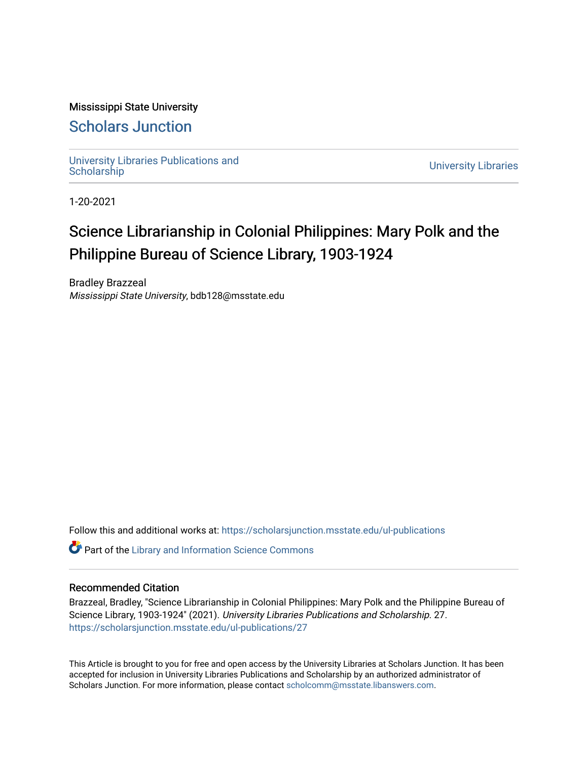## Mississippi State University

# [Scholars Junction](https://scholarsjunction.msstate.edu/)

[University Libraries Publications and](https://scholarsjunction.msstate.edu/ul-publications) 

**University Libraries** 

1-20-2021

# Science Librarianship in Colonial Philippines: Mary Polk and the Philippine Bureau of Science Library, 1903-1924

Bradley Brazzeal Mississippi State University, bdb128@msstate.edu

Follow this and additional works at: [https://scholarsjunction.msstate.edu/ul-publications](https://scholarsjunction.msstate.edu/ul-publications?utm_source=scholarsjunction.msstate.edu%2Ful-publications%2F27&utm_medium=PDF&utm_campaign=PDFCoverPages) 

**C** Part of the Library and Information Science Commons

#### Recommended Citation

Brazzeal, Bradley, "Science Librarianship in Colonial Philippines: Mary Polk and the Philippine Bureau of Science Library, 1903-1924" (2021). University Libraries Publications and Scholarship. 27. [https://scholarsjunction.msstate.edu/ul-publications/27](https://scholarsjunction.msstate.edu/ul-publications/27?utm_source=scholarsjunction.msstate.edu%2Ful-publications%2F27&utm_medium=PDF&utm_campaign=PDFCoverPages) 

This Article is brought to you for free and open access by the University Libraries at Scholars Junction. It has been accepted for inclusion in University Libraries Publications and Scholarship by an authorized administrator of Scholars Junction. For more information, please contact [scholcomm@msstate.libanswers.com.](mailto:scholcomm@msstate.libanswers.com)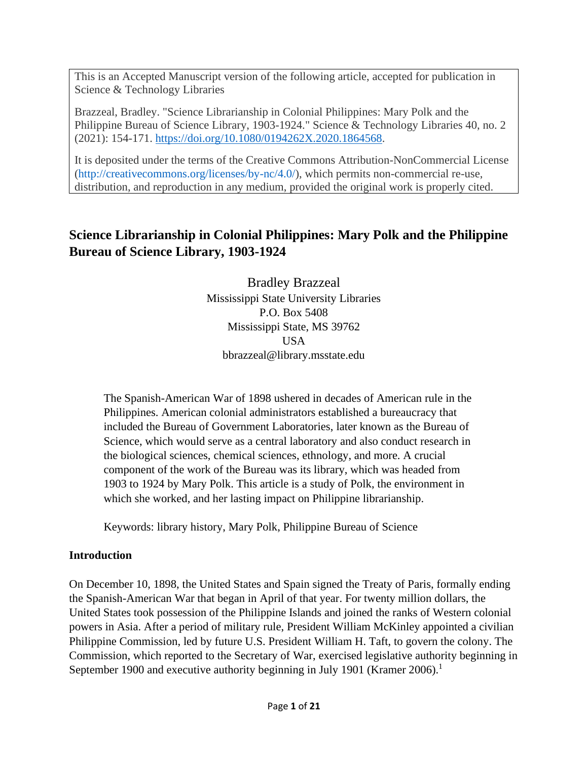This is an Accepted Manuscript version of the following article, accepted for publication in Science & Technology Libraries

Brazzeal, Bradley. "Science Librarianship in Colonial Philippines: Mary Polk and the Philippine Bureau of Science Library, 1903-1924." Science & Technology Libraries 40, no. 2 (2021): 154-171. [https://doi.org/10.1080/0194262X.2020.1864568.](https://doi.org/10.1080/0194262X.2020.1864568)

It is deposited under the terms of the Creative Commons Attribution-NonCommercial License [\(http://creativecommons.org/licenses/by-nc/4.0/\)](https://creativecommons.org/licenses/by-nc/4.0/), which permits non-commercial re-use, distribution, and reproduction in any medium, provided the original work is properly cited.

# **Science Librarianship in Colonial Philippines: Mary Polk and the Philippine Bureau of Science Library, 1903-1924**

Bradley Brazzeal Mississippi State University Libraries P.O. Box 5408 Mississippi State, MS 39762 USA bbrazzeal@library.msstate.edu

The Spanish-American War of 1898 ushered in decades of American rule in the Philippines. American colonial administrators established a bureaucracy that included the Bureau of Government Laboratories, later known as the Bureau of Science, which would serve as a central laboratory and also conduct research in the biological sciences, chemical sciences, ethnology, and more. A crucial component of the work of the Bureau was its library, which was headed from 1903 to 1924 by Mary Polk. This article is a study of Polk, the environment in which she worked, and her lasting impact on Philippine librarianship.

Keywords: library history, Mary Polk, Philippine Bureau of Science

## **Introduction**

On December 10, 1898, the United States and Spain signed the Treaty of Paris, formally ending the Spanish-American War that began in April of that year. For twenty million dollars, the United States took possession of the Philippine Islands and joined the ranks of Western colonial powers in Asia. After a period of military rule, President William McKinley appointed a civilian Philippine Commission, led by future U.S. President William H. Taft, to govern the colony. The Commission, which reported to the Secretary of War, exercised legislative authority beginning in September 1900 and executive authority beginning in July 1901 (Kramer 2006).<sup>1</sup>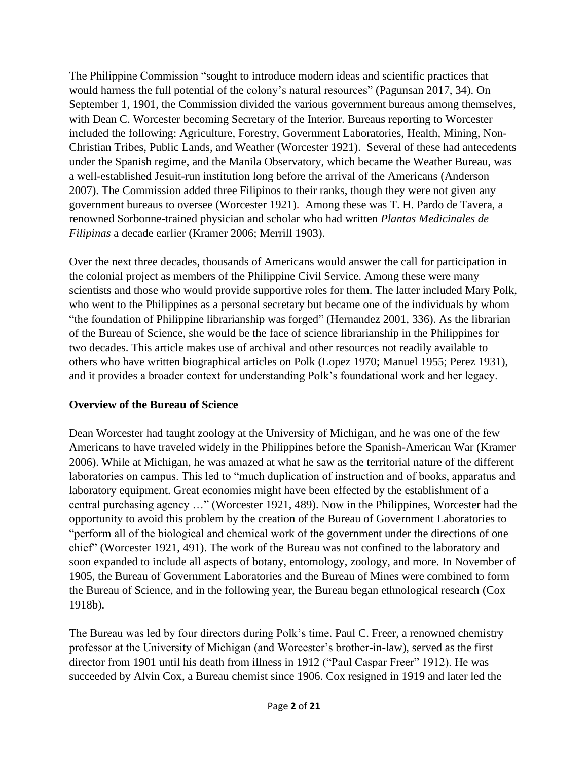The Philippine Commission "sought to introduce modern ideas and scientific practices that would harness the full potential of the colony's natural resources" (Pagunsan 2017, 34). On September 1, 1901, the Commission divided the various government bureaus among themselves, with Dean C. Worcester becoming Secretary of the Interior. Bureaus reporting to Worcester included the following: Agriculture, Forestry, Government Laboratories, Health, Mining, Non-Christian Tribes, Public Lands, and Weather (Worcester 1921). Several of these had antecedents under the Spanish regime, and the Manila Observatory, which became the Weather Bureau, was a well-established Jesuit-run institution long before the arrival of the Americans (Anderson 2007). The Commission added three Filipinos to their ranks, though they were not given any government bureaus to oversee (Worcester 1921). Among these was T. H. Pardo de Tavera, a renowned Sorbonne-trained physician and scholar who had written *Plantas Medicinales de Filipinas* a decade earlier (Kramer 2006; Merrill 1903).

Over the next three decades, thousands of Americans would answer the call for participation in the colonial project as members of the Philippine Civil Service. Among these were many scientists and those who would provide supportive roles for them. The latter included Mary Polk, who went to the Philippines as a personal secretary but became one of the individuals by whom "the foundation of Philippine librarianship was forged" (Hernandez 2001, 336). As the librarian of the Bureau of Science, she would be the face of science librarianship in the Philippines for two decades. This article makes use of archival and other resources not readily available to others who have written biographical articles on Polk (Lopez 1970; Manuel 1955; Perez 1931), and it provides a broader context for understanding Polk's foundational work and her legacy.

#### **Overview of the Bureau of Science**

Dean Worcester had taught zoology at the University of Michigan, and he was one of the few Americans to have traveled widely in the Philippines before the Spanish-American War (Kramer 2006). While at Michigan, he was amazed at what he saw as the territorial nature of the different laboratories on campus. This led to "much duplication of instruction and of books, apparatus and laboratory equipment. Great economies might have been effected by the establishment of a central purchasing agency …" (Worcester 1921, 489). Now in the Philippines, Worcester had the opportunity to avoid this problem by the creation of the Bureau of Government Laboratories to "perform all of the biological and chemical work of the government under the directions of one chief" (Worcester 1921, 491). The work of the Bureau was not confined to the laboratory and soon expanded to include all aspects of botany, entomology, zoology, and more. In November of 1905, the Bureau of Government Laboratories and the Bureau of Mines were combined to form the Bureau of Science, and in the following year, the Bureau began ethnological research (Cox 1918b).

The Bureau was led by four directors during Polk's time. Paul C. Freer, a renowned chemistry professor at the University of Michigan (and Worcester's brother-in-law), served as the first director from 1901 until his death from illness in 1912 ("Paul Caspar Freer" 1912). He was succeeded by Alvin Cox, a Bureau chemist since 1906. Cox resigned in 1919 and later led the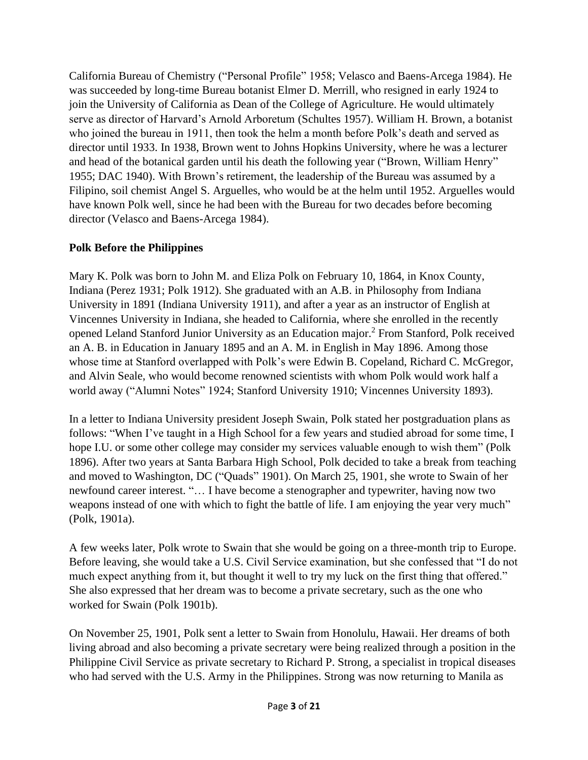California Bureau of Chemistry ("Personal Profile" 1958; Velasco and Baens-Arcega 1984). He was succeeded by long-time Bureau botanist Elmer D. Merrill, who resigned in early 1924 to join the University of California as Dean of the College of Agriculture. He would ultimately serve as director of Harvard's Arnold Arboretum (Schultes 1957). William H. Brown, a botanist who joined the bureau in 1911, then took the helm a month before Polk's death and served as director until 1933. In 1938, Brown went to Johns Hopkins University, where he was a lecturer and head of the botanical garden until his death the following year ("Brown, William Henry" 1955; DAC 1940). With Brown's retirement, the leadership of the Bureau was assumed by a Filipino, soil chemist Angel S. Arguelles, who would be at the helm until 1952. Arguelles would have known Polk well, since he had been with the Bureau for two decades before becoming director (Velasco and Baens-Arcega 1984).

## **Polk Before the Philippines**

Mary K. Polk was born to John M. and Eliza Polk on February 10, 1864, in Knox County, Indiana (Perez 1931; Polk 1912). She graduated with an A.B. in Philosophy from Indiana University in 1891 (Indiana University 1911), and after a year as an instructor of English at Vincennes University in Indiana, she headed to California, where she enrolled in the recently opened Leland Stanford Junior University as an Education major. <sup>2</sup> From Stanford, Polk received an A. B. in Education in January 1895 and an A. M. in English in May 1896. Among those whose time at Stanford overlapped with Polk's were Edwin B. Copeland, Richard C. McGregor, and Alvin Seale, who would become renowned scientists with whom Polk would work half a world away ("Alumni Notes" 1924; Stanford University 1910; Vincennes University 1893).

In a letter to Indiana University president Joseph Swain, Polk stated her postgraduation plans as follows: "When I've taught in a High School for a few years and studied abroad for some time, I hope I.U. or some other college may consider my services valuable enough to wish them" (Polk 1896). After two years at Santa Barbara High School, Polk decided to take a break from teaching and moved to Washington, DC ("Quads" 1901). On March 25, 1901, she wrote to Swain of her newfound career interest. "… I have become a stenographer and typewriter, having now two weapons instead of one with which to fight the battle of life. I am enjoying the year very much" (Polk, 1901a).

A few weeks later, Polk wrote to Swain that she would be going on a three-month trip to Europe. Before leaving, she would take a U.S. Civil Service examination, but she confessed that "I do not much expect anything from it, but thought it well to try my luck on the first thing that offered." She also expressed that her dream was to become a private secretary, such as the one who worked for Swain (Polk 1901b).

On November 25, 1901, Polk sent a letter to Swain from Honolulu, Hawaii. Her dreams of both living abroad and also becoming a private secretary were being realized through a position in the Philippine Civil Service as private secretary to Richard P. Strong, a specialist in tropical diseases who had served with the U.S. Army in the Philippines. Strong was now returning to Manila as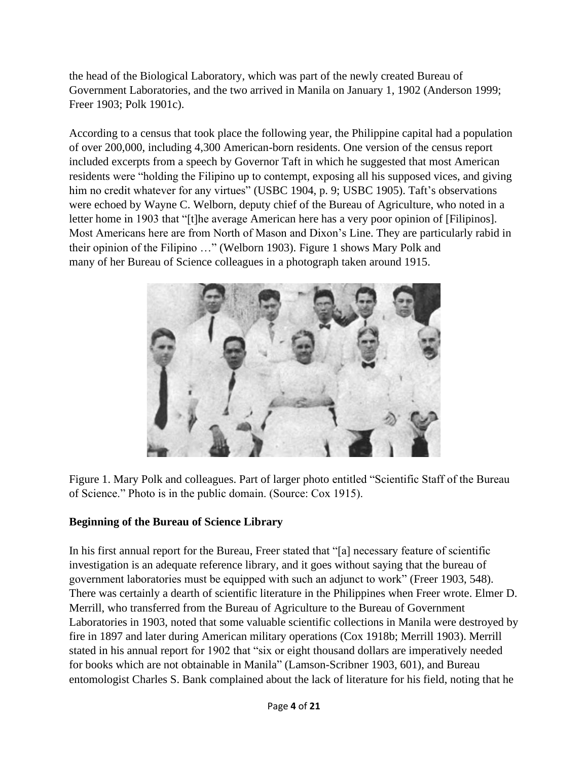the head of the Biological Laboratory, which was part of the newly created Bureau of Government Laboratories, and the two arrived in Manila on January 1, 1902 (Anderson 1999; Freer 1903; Polk 1901c).

According to a census that took place the following year, the Philippine capital had a population of over 200,000, including 4,300 American-born residents. One version of the census report included excerpts from a speech by Governor Taft in which he suggested that most American residents were "holding the Filipino up to contempt, exposing all his supposed vices, and giving him no credit whatever for any virtues" (USBC 1904, p. 9; USBC 1905). Taft's observations were echoed by Wayne C. Welborn, deputy chief of the Bureau of Agriculture, who noted in a letter home in 1903 that "[t]he average American here has a very poor opinion of [Filipinos]. Most Americans here are from North of Mason and Dixon's Line. They are particularly rabid in their opinion of the Filipino …" (Welborn 1903). Figure 1 shows Mary Polk and many of her Bureau of Science colleagues in a photograph taken around 1915.



Figure 1. Mary Polk and colleagues. Part of larger photo entitled "Scientific Staff of the Bureau of Science." Photo is in the public domain. (Source: Cox 1915).

## **Beginning of the Bureau of Science Library**

In his first annual report for the Bureau, Freer stated that "[a] necessary feature of scientific investigation is an adequate reference library, and it goes without saying that the bureau of government laboratories must be equipped with such an adjunct to work" (Freer 1903, 548). There was certainly a dearth of scientific literature in the Philippines when Freer wrote. Elmer D. Merrill, who transferred from the Bureau of Agriculture to the Bureau of Government Laboratories in 1903, noted that some valuable scientific collections in Manila were destroyed by fire in 1897 and later during American military operations (Cox 1918b; Merrill 1903). Merrill stated in his annual report for 1902 that "six or eight thousand dollars are imperatively needed for books which are not obtainable in Manila" (Lamson-Scribner 1903, 601), and Bureau entomologist Charles S. Bank complained about the lack of literature for his field, noting that he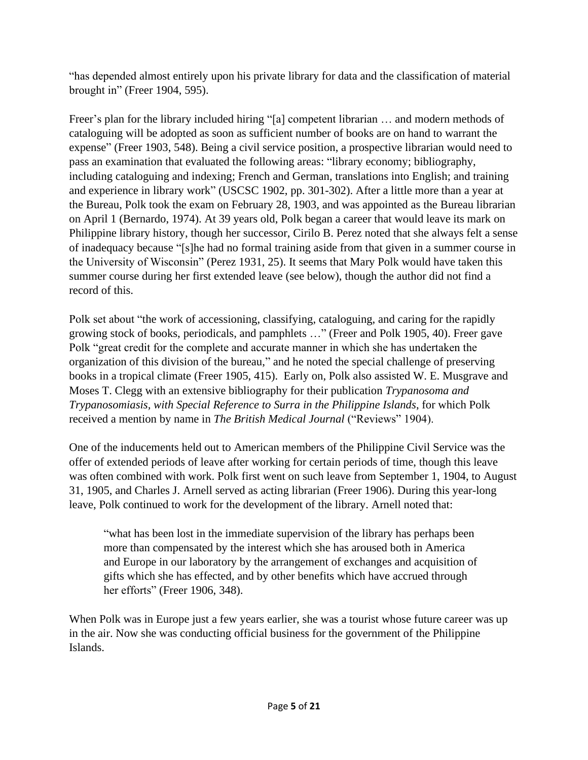"has depended almost entirely upon his private library for data and the classification of material brought in" (Freer 1904, 595).

Freer's plan for the library included hiring "[a] competent librarian … and modern methods of cataloguing will be adopted as soon as sufficient number of books are on hand to warrant the expense" (Freer 1903, 548). Being a civil service position, a prospective librarian would need to pass an examination that evaluated the following areas: "library economy; bibliography, including cataloguing and indexing; French and German, translations into English; and training and experience in library work" (USCSC 1902, pp. 301-302). After a little more than a year at the Bureau, Polk took the exam on February 28, 1903, and was appointed as the Bureau librarian on April 1 (Bernardo, 1974). At 39 years old, Polk began a career that would leave its mark on Philippine library history, though her successor, Cirilo B. Perez noted that she always felt a sense of inadequacy because "[s]he had no formal training aside from that given in a summer course in the University of Wisconsin" (Perez 1931, 25). It seems that Mary Polk would have taken this summer course during her first extended leave (see below), though the author did not find a record of this.

Polk set about "the work of accessioning, classifying, cataloguing, and caring for the rapidly growing stock of books, periodicals, and pamphlets …" (Freer and Polk 1905, 40). Freer gave Polk "great credit for the complete and accurate manner in which she has undertaken the organization of this division of the bureau," and he noted the special challenge of preserving books in a tropical climate (Freer 1905, 415). Early on, Polk also assisted W. E. Musgrave and Moses T. Clegg with an extensive bibliography for their publication *Trypanosoma and Trypanosomiasis, with Special Reference to Surra in the Philippine Islands*, for which Polk received a mention by name in *The British Medical Journal* ("Reviews" 1904).

One of the inducements held out to American members of the Philippine Civil Service was the offer of extended periods of leave after working for certain periods of time, though this leave was often combined with work. Polk first went on such leave from September 1, 1904, to August 31, 1905, and Charles J. Arnell served as acting librarian (Freer 1906). During this year-long leave, Polk continued to work for the development of the library. Arnell noted that:

"what has been lost in the immediate supervision of the library has perhaps been more than compensated by the interest which she has aroused both in America and Europe in our laboratory by the arrangement of exchanges and acquisition of gifts which she has effected, and by other benefits which have accrued through her efforts" (Freer 1906, 348).

When Polk was in Europe just a few years earlier, she was a tourist whose future career was up in the air. Now she was conducting official business for the government of the Philippine Islands.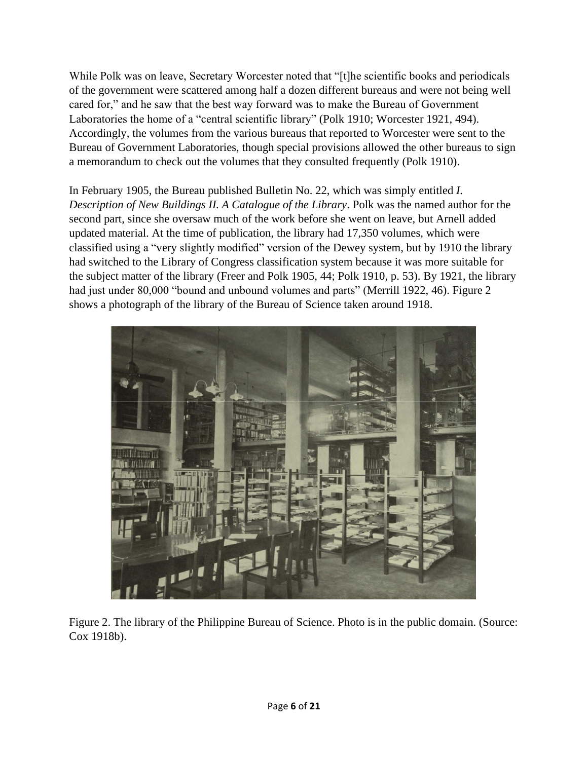While Polk was on leave, Secretary Worcester noted that "[t]he scientific books and periodicals of the government were scattered among half a dozen different bureaus and were not being well cared for," and he saw that the best way forward was to make the Bureau of Government Laboratories the home of a "central scientific library" (Polk 1910; Worcester 1921, 494). Accordingly, the volumes from the various bureaus that reported to Worcester were sent to the Bureau of Government Laboratories, though special provisions allowed the other bureaus to sign a memorandum to check out the volumes that they consulted frequently (Polk 1910).

In February 1905, the Bureau published Bulletin No. 22, which was simply entitled *I. Description of New Buildings II. A Catalogue of the Library*. Polk was the named author for the second part, since she oversaw much of the work before she went on leave, but Arnell added updated material. At the time of publication, the library had 17,350 volumes, which were classified using a "very slightly modified" version of the Dewey system, but by 1910 the library had switched to the Library of Congress classification system because it was more suitable for the subject matter of the library (Freer and Polk 1905, 44; Polk 1910, p. 53). By 1921, the library had just under 80,000 "bound and unbound volumes and parts" (Merrill 1922, 46). Figure 2 shows a photograph of the library of the Bureau of Science taken around 1918.



Figure 2. The library of the Philippine Bureau of Science. Photo is in the public domain. (Source: Cox 1918b).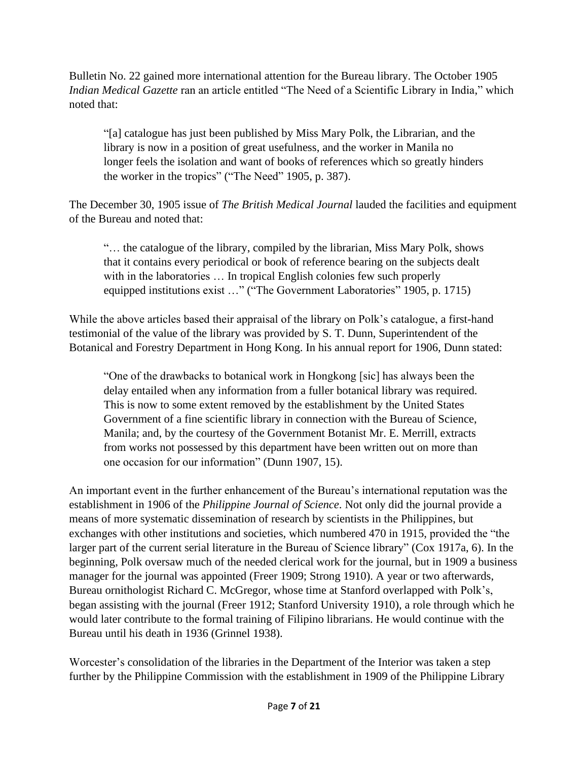Bulletin No. 22 gained more international attention for the Bureau library. The October 1905 *Indian Medical Gazette* ran an article entitled "The Need of a Scientific Library in India," which noted that:

"[a] catalogue has just been published by Miss Mary Polk, the Librarian, and the library is now in a position of great usefulness, and the worker in Manila no longer feels the isolation and want of books of references which so greatly hinders the worker in the tropics" ("The Need" 1905, p. 387).

The December 30, 1905 issue of *The British Medical Journal* lauded the facilities and equipment of the Bureau and noted that:

"… the catalogue of the library, compiled by the librarian, Miss Mary Polk, shows that it contains every periodical or book of reference bearing on the subjects dealt with in the laboratories ... In tropical English colonies few such properly equipped institutions exist …" ("The Government Laboratories" 1905, p. 1715)

While the above articles based their appraisal of the library on Polk's catalogue, a first-hand testimonial of the value of the library was provided by S. T. Dunn, Superintendent of the Botanical and Forestry Department in Hong Kong. In his annual report for 1906, Dunn stated:

"One of the drawbacks to botanical work in Hongkong [sic] has always been the delay entailed when any information from a fuller botanical library was required. This is now to some extent removed by the establishment by the United States Government of a fine scientific library in connection with the Bureau of Science, Manila; and, by the courtesy of the Government Botanist Mr. E. Merrill, extracts from works not possessed by this department have been written out on more than one occasion for our information" (Dunn 1907, 15).

An important event in the further enhancement of the Bureau's international reputation was the establishment in 1906 of the *Philippine Journal of Science*. Not only did the journal provide a means of more systematic dissemination of research by scientists in the Philippines, but exchanges with other institutions and societies, which numbered 470 in 1915, provided the "the larger part of the current serial literature in the Bureau of Science library" (Cox 1917a, 6). In the beginning, Polk oversaw much of the needed clerical work for the journal, but in 1909 a business manager for the journal was appointed (Freer 1909; Strong 1910). A year or two afterwards, Bureau ornithologist Richard C. McGregor, whose time at Stanford overlapped with Polk's, began assisting with the journal (Freer 1912; Stanford University 1910), a role through which he would later contribute to the formal training of Filipino librarians. He would continue with the Bureau until his death in 1936 (Grinnel 1938).

Worcester's consolidation of the libraries in the Department of the Interior was taken a step further by the Philippine Commission with the establishment in 1909 of the Philippine Library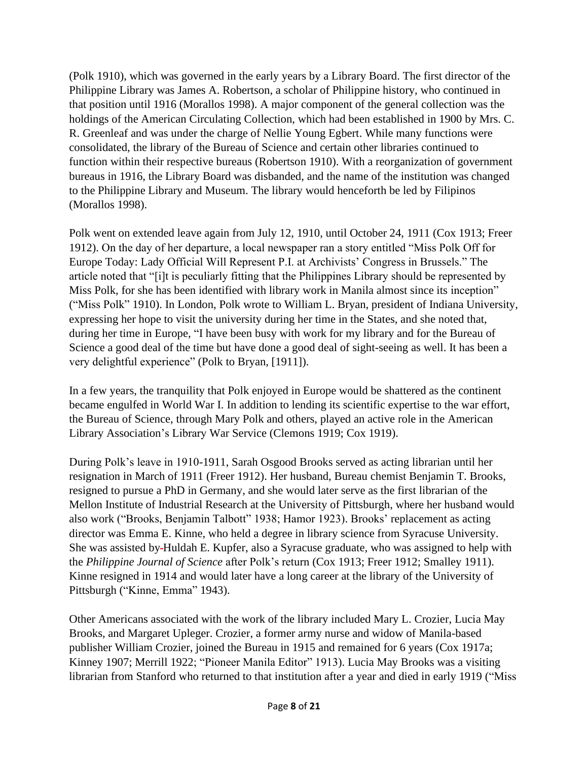(Polk 1910), which was governed in the early years by a Library Board. The first director of the Philippine Library was James A. Robertson, a scholar of Philippine history, who continued in that position until 1916 (Morallos 1998). A major component of the general collection was the holdings of the American Circulating Collection, which had been established in 1900 by Mrs. C. R. Greenleaf and was under the charge of Nellie Young Egbert. While many functions were consolidated, the library of the Bureau of Science and certain other libraries continued to function within their respective bureaus (Robertson 1910). With a reorganization of government bureaus in 1916, the Library Board was disbanded, and the name of the institution was changed to the Philippine Library and Museum. The library would henceforth be led by Filipinos (Morallos 1998).

Polk went on extended leave again from July 12, 1910, until October 24, 1911 (Cox 1913; Freer 1912). On the day of her departure, a local newspaper ran a story entitled "Miss Polk Off for Europe Today: Lady Official Will Represent P.I. at Archivists' Congress in Brussels." The article noted that "[i]t is peculiarly fitting that the Philippines Library should be represented by Miss Polk, for she has been identified with library work in Manila almost since its inception" ("Miss Polk" 1910). In London, Polk wrote to William L. Bryan, president of Indiana University, expressing her hope to visit the university during her time in the States, and she noted that, during her time in Europe, "I have been busy with work for my library and for the Bureau of Science a good deal of the time but have done a good deal of sight-seeing as well. It has been a very delightful experience" (Polk to Bryan, [1911]).

In a few years, the tranquility that Polk enjoyed in Europe would be shattered as the continent became engulfed in World War I. In addition to lending its scientific expertise to the war effort, the Bureau of Science, through Mary Polk and others, played an active role in the American Library Association's Library War Service (Clemons 1919; Cox 1919).

During Polk's leave in 1910-1911, Sarah Osgood Brooks served as acting librarian until her resignation in March of 1911 (Freer 1912). Her husband, Bureau chemist Benjamin T. Brooks, resigned to pursue a PhD in Germany, and she would later serve as the first librarian of the Mellon Institute of Industrial Research at the University of Pittsburgh, where her husband would also work ("Brooks, Benjamin Talbott" 1938; Hamor 1923). Brooks' replacement as acting director was Emma E. Kinne, who held a degree in library science from Syracuse University. She was assisted by Huldah E. Kupfer, also a Syracuse graduate, who was assigned to help with the *Philippine Journal of Science* after Polk's return (Cox 1913; Freer 1912; Smalley 1911). Kinne resigned in 1914 and would later have a long career at the library of the University of Pittsburgh ("Kinne, Emma" 1943).

Other Americans associated with the work of the library included Mary L. Crozier, Lucia May Brooks, and Margaret Upleger. Crozier, a former army nurse and widow of Manila-based publisher William Crozier, joined the Bureau in 1915 and remained for 6 years (Cox 1917a; Kinney 1907; Merrill 1922; "Pioneer Manila Editor" 1913). Lucia May Brooks was a visiting librarian from Stanford who returned to that institution after a year and died in early 1919 ("Miss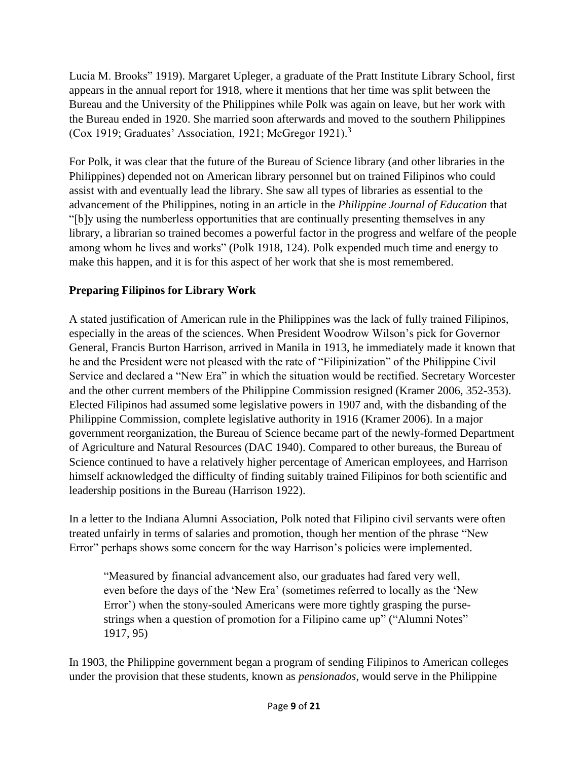Lucia M. Brooks" 1919). Margaret Upleger, a graduate of the Pratt Institute Library School, first appears in the annual report for 1918, where it mentions that her time was split between the Bureau and the University of the Philippines while Polk was again on leave, but her work with the Bureau ended in 1920. She married soon afterwards and moved to the southern Philippines (Cox 1919; Graduates' Association, 1921; McGregor 1921).<sup>3</sup>

For Polk, it was clear that the future of the Bureau of Science library (and other libraries in the Philippines) depended not on American library personnel but on trained Filipinos who could assist with and eventually lead the library. She saw all types of libraries as essential to the advancement of the Philippines, noting in an article in the *Philippine Journal of Education* that "[b]y using the numberless opportunities that are continually presenting themselves in any library, a librarian so trained becomes a powerful factor in the progress and welfare of the people among whom he lives and works" (Polk 1918, 124). Polk expended much time and energy to make this happen, and it is for this aspect of her work that she is most remembered.

# **Preparing Filipinos for Library Work**

A stated justification of American rule in the Philippines was the lack of fully trained Filipinos, especially in the areas of the sciences. When President Woodrow Wilson's pick for Governor General, Francis Burton Harrison, arrived in Manila in 1913, he immediately made it known that he and the President were not pleased with the rate of "Filipinization" of the Philippine Civil Service and declared a "New Era" in which the situation would be rectified. Secretary Worcester and the other current members of the Philippine Commission resigned (Kramer 2006, 352-353). Elected Filipinos had assumed some legislative powers in 1907 and, with the disbanding of the Philippine Commission, complete legislative authority in 1916 (Kramer 2006). In a major government reorganization, the Bureau of Science became part of the newly-formed Department of Agriculture and Natural Resources (DAC 1940). Compared to other bureaus, the Bureau of Science continued to have a relatively higher percentage of American employees, and Harrison himself acknowledged the difficulty of finding suitably trained Filipinos for both scientific and leadership positions in the Bureau (Harrison 1922).

In a letter to the Indiana Alumni Association, Polk noted that Filipino civil servants were often treated unfairly in terms of salaries and promotion, though her mention of the phrase "New Error" perhaps shows some concern for the way Harrison's policies were implemented.

"Measured by financial advancement also, our graduates had fared very well, even before the days of the 'New Era' (sometimes referred to locally as the 'New Error') when the stony-souled Americans were more tightly grasping the pursestrings when a question of promotion for a Filipino came up" ("Alumni Notes" 1917, 95)

In 1903, the Philippine government began a program of sending Filipinos to American colleges under the provision that these students, known as *pensionados*, would serve in the Philippine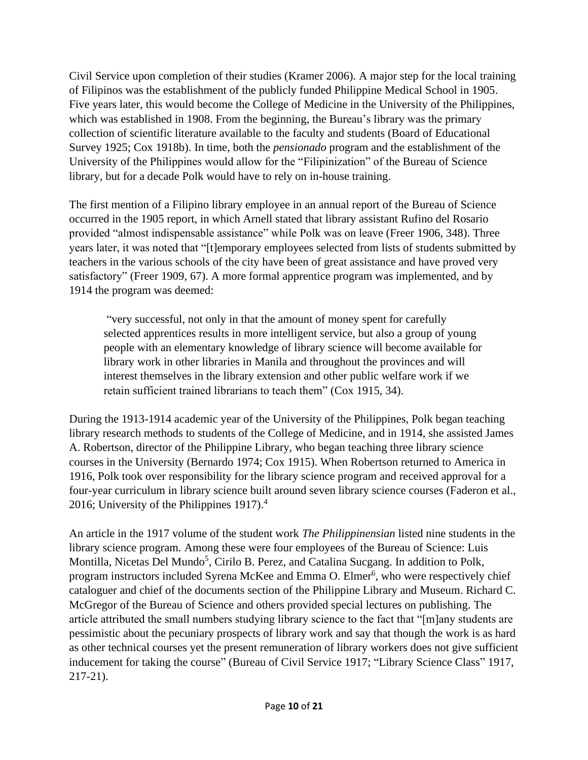Civil Service upon completion of their studies (Kramer 2006). A major step for the local training of Filipinos was the establishment of the publicly funded Philippine Medical School in 1905. Five years later, this would become the College of Medicine in the University of the Philippines, which was established in 1908. From the beginning, the Bureau's library was the primary collection of scientific literature available to the faculty and students (Board of Educational Survey 1925; Cox 1918b). In time, both the *pensionado* program and the establishment of the University of the Philippines would allow for the "Filipinization" of the Bureau of Science library, but for a decade Polk would have to rely on in-house training.

The first mention of a Filipino library employee in an annual report of the Bureau of Science occurred in the 1905 report, in which Arnell stated that library assistant Rufino del Rosario provided "almost indispensable assistance" while Polk was on leave (Freer 1906, 348). Three years later, it was noted that "[t]emporary employees selected from lists of students submitted by teachers in the various schools of the city have been of great assistance and have proved very satisfactory" (Freer 1909, 67). A more formal apprentice program was implemented, and by 1914 the program was deemed:

"very successful, not only in that the amount of money spent for carefully selected apprentices results in more intelligent service, but also a group of young people with an elementary knowledge of library science will become available for library work in other libraries in Manila and throughout the provinces and will interest themselves in the library extension and other public welfare work if we retain sufficient trained librarians to teach them" (Cox 1915, 34).

During the 1913-1914 academic year of the University of the Philippines, Polk began teaching library research methods to students of the College of Medicine, and in 1914, she assisted James A. Robertson, director of the Philippine Library, who began teaching three library science courses in the University (Bernardo 1974; Cox 1915). When Robertson returned to America in 1916, Polk took over responsibility for the library science program and received approval for a four-year curriculum in library science built around seven library science courses (Faderon et al., 2016; University of the Philippines 1917).<sup>4</sup>

An article in the 1917 volume of the student work *The Philippinensian* listed nine students in the library science program. Among these were four employees of the Bureau of Science: Luis Montilla, Nicetas Del Mundo<sup>5</sup>, Cirilo B. Perez, and Catalina Sucgang. In addition to Polk, program instructors included Syrena McKee and Emma O. Elmer<sup>6</sup>, who were respectively chief cataloguer and chief of the documents section of the Philippine Library and Museum. Richard C. McGregor of the Bureau of Science and others provided special lectures on publishing. The article attributed the small numbers studying library science to the fact that "[m]any students are pessimistic about the pecuniary prospects of library work and say that though the work is as hard as other technical courses yet the present remuneration of library workers does not give sufficient inducement for taking the course" (Bureau of Civil Service 1917; "Library Science Class" 1917, 217-21).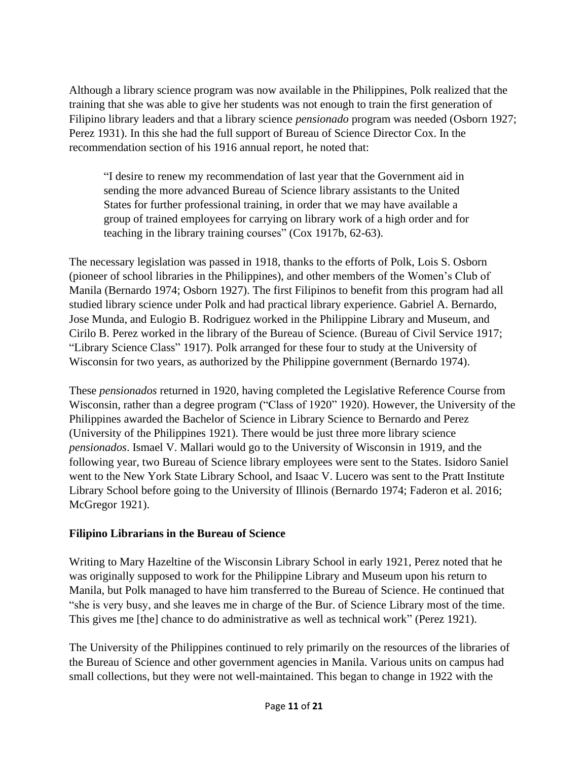Although a library science program was now available in the Philippines, Polk realized that the training that she was able to give her students was not enough to train the first generation of Filipino library leaders and that a library science *pensionado* program was needed (Osborn 1927; Perez 1931). In this she had the full support of Bureau of Science Director Cox. In the recommendation section of his 1916 annual report, he noted that:

"I desire to renew my recommendation of last year that the Government aid in sending the more advanced Bureau of Science library assistants to the United States for further professional training, in order that we may have available a group of trained employees for carrying on library work of a high order and for teaching in the library training courses" (Cox 1917b, 62-63).

The necessary legislation was passed in 1918, thanks to the efforts of Polk, Lois S. Osborn (pioneer of school libraries in the Philippines), and other members of the Women's Club of Manila (Bernardo 1974; Osborn 1927). The first Filipinos to benefit from this program had all studied library science under Polk and had practical library experience. Gabriel A. Bernardo, Jose Munda, and Eulogio B. Rodriguez worked in the Philippine Library and Museum, and Cirilo B. Perez worked in the library of the Bureau of Science. (Bureau of Civil Service 1917; "Library Science Class" 1917). Polk arranged for these four to study at the University of Wisconsin for two years, as authorized by the Philippine government (Bernardo 1974).

These *pensionados* returned in 1920, having completed the Legislative Reference Course from Wisconsin, rather than a degree program ("Class of 1920" 1920). However, the University of the Philippines awarded the Bachelor of Science in Library Science to Bernardo and Perez (University of the Philippines 1921). There would be just three more library science *pensionados*. Ismael V. Mallari would go to the University of Wisconsin in 1919, and the following year, two Bureau of Science library employees were sent to the States. Isidoro Saniel went to the New York State Library School, and Isaac V. Lucero was sent to the Pratt Institute Library School before going to the University of Illinois (Bernardo 1974; Faderon et al. 2016; McGregor 1921).

#### **Filipino Librarians in the Bureau of Science**

Writing to Mary Hazeltine of the Wisconsin Library School in early 1921, Perez noted that he was originally supposed to work for the Philippine Library and Museum upon his return to Manila, but Polk managed to have him transferred to the Bureau of Science. He continued that "she is very busy, and she leaves me in charge of the Bur. of Science Library most of the time. This gives me [the] chance to do administrative as well as technical work" (Perez 1921).

The University of the Philippines continued to rely primarily on the resources of the libraries of the Bureau of Science and other government agencies in Manila. Various units on campus had small collections, but they were not well-maintained. This began to change in 1922 with the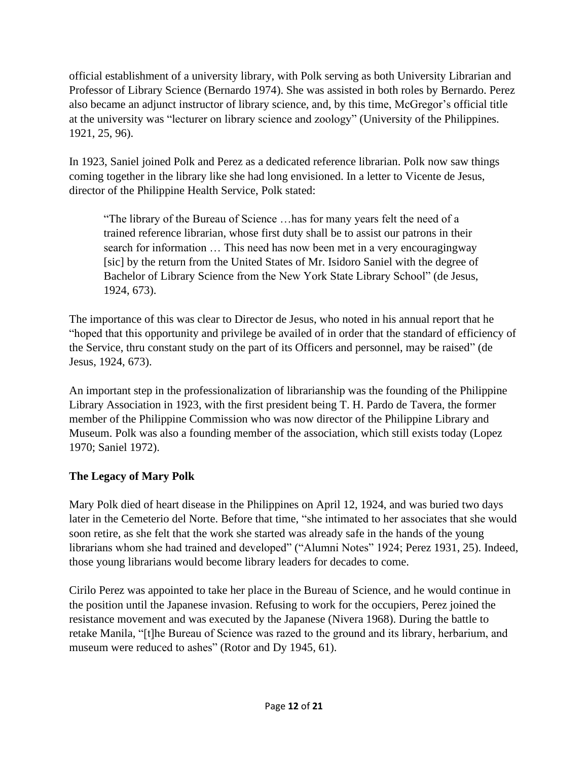official establishment of a university library, with Polk serving as both University Librarian and Professor of Library Science (Bernardo 1974). She was assisted in both roles by Bernardo. Perez also became an adjunct instructor of library science, and, by this time, McGregor's official title at the university was "lecturer on library science and zoology" (University of the Philippines. 1921, 25, 96).

In 1923, Saniel joined Polk and Perez as a dedicated reference librarian. Polk now saw things coming together in the library like she had long envisioned. In a letter to Vicente de Jesus, director of the Philippine Health Service, Polk stated:

"The library of the Bureau of Science …has for many years felt the need of a trained reference librarian, whose first duty shall be to assist our patrons in their search for information … This need has now been met in a very encouragingway [sic] by the return from the United States of Mr. Isidoro Saniel with the degree of Bachelor of Library Science from the New York State Library School" (de Jesus, 1924, 673).

The importance of this was clear to Director de Jesus, who noted in his annual report that he "hoped that this opportunity and privilege be availed of in order that the standard of efficiency of the Service, thru constant study on the part of its Officers and personnel, may be raised" (de Jesus, 1924, 673).

An important step in the professionalization of librarianship was the founding of the Philippine Library Association in 1923, with the first president being T. H. Pardo de Tavera, the former member of the Philippine Commission who was now director of the Philippine Library and Museum. Polk was also a founding member of the association, which still exists today (Lopez 1970; Saniel 1972).

## **The Legacy of Mary Polk**

Mary Polk died of heart disease in the Philippines on April 12, 1924, and was buried two days later in the Cemeterio del Norte. Before that time, "she intimated to her associates that she would soon retire, as she felt that the work she started was already safe in the hands of the young librarians whom she had trained and developed" ("Alumni Notes" 1924; Perez 1931, 25). Indeed, those young librarians would become library leaders for decades to come.

Cirilo Perez was appointed to take her place in the Bureau of Science, and he would continue in the position until the Japanese invasion. Refusing to work for the occupiers, Perez joined the resistance movement and was executed by the Japanese (Nivera 1968). During the battle to retake Manila, "[t]he Bureau of Science was razed to the ground and its library, herbarium, and museum were reduced to ashes" (Rotor and Dy 1945, 61).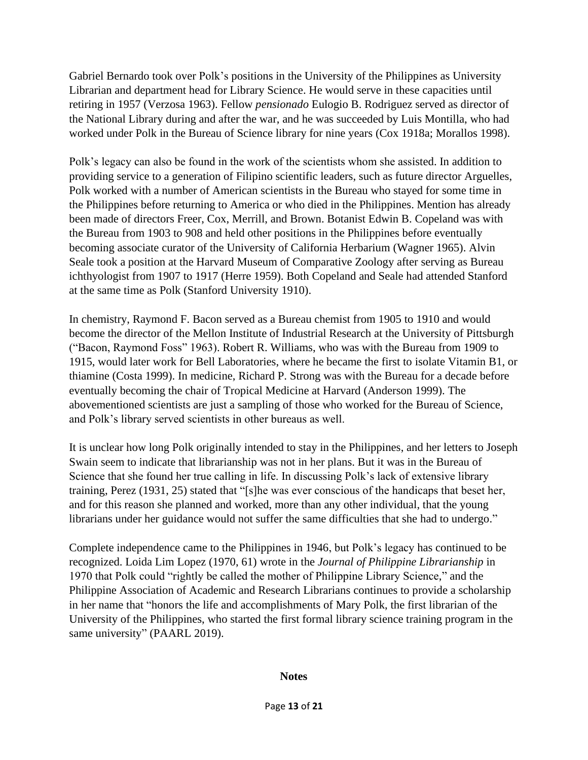Gabriel Bernardo took over Polk's positions in the University of the Philippines as University Librarian and department head for Library Science. He would serve in these capacities until retiring in 1957 (Verzosa 1963). Fellow *pensionado* Eulogio B. Rodriguez served as director of the National Library during and after the war, and he was succeeded by Luis Montilla, who had worked under Polk in the Bureau of Science library for nine years (Cox 1918a; Morallos 1998).

Polk's legacy can also be found in the work of the scientists whom she assisted. In addition to providing service to a generation of Filipino scientific leaders, such as future director Arguelles, Polk worked with a number of American scientists in the Bureau who stayed for some time in the Philippines before returning to America or who died in the Philippines. Mention has already been made of directors Freer, Cox, Merrill, and Brown. Botanist Edwin B. Copeland was with the Bureau from 1903 to 908 and held other positions in the Philippines before eventually becoming associate curator of the University of California Herbarium (Wagner 1965). Alvin Seale took a position at the Harvard Museum of Comparative Zoology after serving as Bureau ichthyologist from 1907 to 1917 (Herre 1959). Both Copeland and Seale had attended Stanford at the same time as Polk (Stanford University 1910).

In chemistry, Raymond F. Bacon served as a Bureau chemist from 1905 to 1910 and would become the director of the Mellon Institute of Industrial Research at the University of Pittsburgh ("Bacon, Raymond Foss" 1963). Robert R. Williams, who was with the Bureau from 1909 to 1915, would later work for Bell Laboratories, where he became the first to isolate Vitamin B1, or thiamine (Costa 1999). In medicine, Richard P. Strong was with the Bureau for a decade before eventually becoming the chair of Tropical Medicine at Harvard (Anderson 1999). The abovementioned scientists are just a sampling of those who worked for the Bureau of Science, and Polk's library served scientists in other bureaus as well.

It is unclear how long Polk originally intended to stay in the Philippines, and her letters to Joseph Swain seem to indicate that librarianship was not in her plans. But it was in the Bureau of Science that she found her true calling in life. In discussing Polk's lack of extensive library training, Perez (1931, 25) stated that "[s]he was ever conscious of the handicaps that beset her, and for this reason she planned and worked, more than any other individual, that the young librarians under her guidance would not suffer the same difficulties that she had to undergo."

Complete independence came to the Philippines in 1946, but Polk's legacy has continued to be recognized. Loida Lim Lopez (1970, 61) wrote in the *Journal of Philippine Librarianship* in 1970 that Polk could "rightly be called the mother of Philippine Library Science," and the Philippine Association of Academic and Research Librarians continues to provide a scholarship in her name that "honors the life and accomplishments of Mary Polk, the first librarian of the University of the Philippines, who started the first formal library science training program in the same university" (PAARL 2019).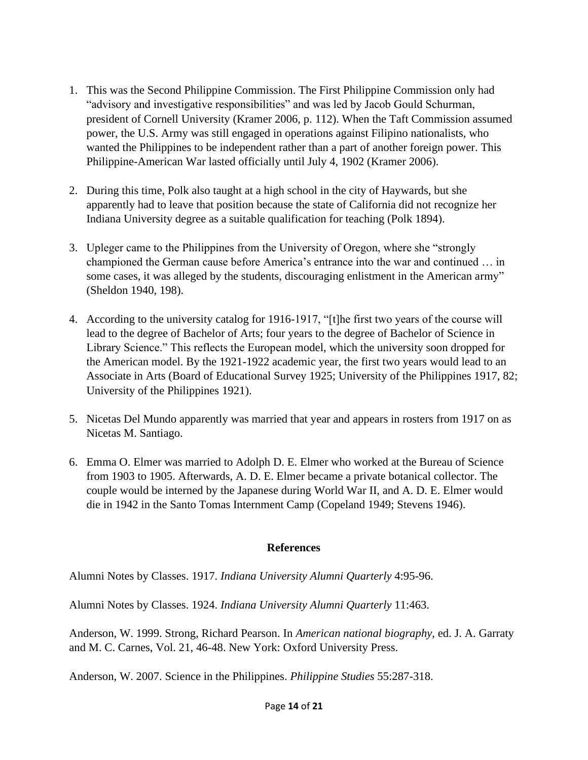- 1. This was the Second Philippine Commission. The First Philippine Commission only had "advisory and investigative responsibilities" and was led by Jacob Gould Schurman, president of Cornell University (Kramer 2006, p. 112). When the Taft Commission assumed power, the U.S. Army was still engaged in operations against Filipino nationalists, who wanted the Philippines to be independent rather than a part of another foreign power. This Philippine-American War lasted officially until July 4, 1902 (Kramer 2006).
- 2. During this time, Polk also taught at a high school in the city of Haywards, but she apparently had to leave that position because the state of California did not recognize her Indiana University degree as a suitable qualification for teaching (Polk 1894).
- 3. Upleger came to the Philippines from the University of Oregon, where she "strongly championed the German cause before America's entrance into the war and continued … in some cases, it was alleged by the students, discouraging enlistment in the American army" (Sheldon 1940, 198).
- 4. According to the university catalog for 1916-1917, "[t]he first two years of the course will lead to the degree of Bachelor of Arts; four years to the degree of Bachelor of Science in Library Science." This reflects the European model, which the university soon dropped for the American model. By the 1921-1922 academic year, the first two years would lead to an Associate in Arts (Board of Educational Survey 1925; University of the Philippines 1917, 82; University of the Philippines 1921).
- 5. Nicetas Del Mundo apparently was married that year and appears in rosters from 1917 on as Nicetas M. Santiago.
- 6. Emma O. Elmer was married to Adolph D. E. Elmer who worked at the Bureau of Science from 1903 to 1905. Afterwards, A. D. E. Elmer became a private botanical collector. The couple would be interned by the Japanese during World War II, and A. D. E. Elmer would die in 1942 in the Santo Tomas Internment Camp (Copeland 1949; Stevens 1946).

#### **References**

Alumni Notes by Classes. 1917. *Indiana University Alumni Quarterly* 4:95-96.

Alumni Notes by Classes. 1924. *Indiana University Alumni Quarterly* 11:463.

Anderson, W. 1999. Strong, Richard Pearson. In *American national biography*, ed. J. A. Garraty and M. C. Carnes, Vol. 21, 46-48. New York: Oxford University Press.

Anderson, W. 2007. Science in the Philippines. *Philippine Studies* 55:287-318.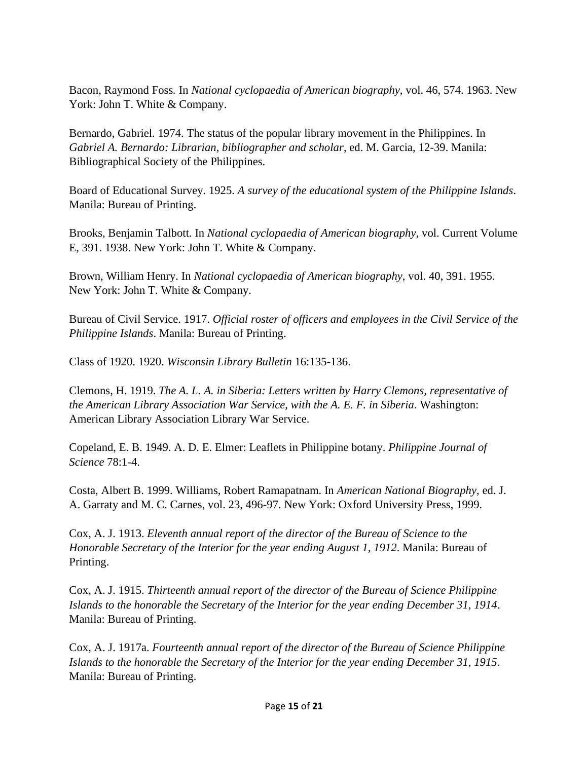Bacon, Raymond Foss*.* In *National cyclopaedia of American biography*, vol. 46, 574. 1963. New York: John T. White & Company.

Bernardo, Gabriel. 1974. The status of the popular library movement in the Philippines. In *Gabriel A. Bernardo: Librarian, bibliographer and scholar*, ed. M. Garcia, 12-39. Manila: Bibliographical Society of the Philippines.

Board of Educational Survey. 1925. *A survey of the educational system of the Philippine Islands*. Manila: Bureau of Printing.

Brooks, Benjamin Talbott*.* In *National cyclopaedia of American biography*, vol. Current Volume E, 391. 1938. New York: John T. White & Company.

Brown, William Henry. In *National cyclopaedia of American biography*, vol. 40, 391. 1955. New York: John T. White & Company.

Bureau of Civil Service. 1917. *Official roster of officers and employees in the Civil Service of the Philippine Islands*. Manila: Bureau of Printing.

Class of 1920. 1920. *Wisconsin Library Bulletin* 16:135-136.

Clemons, H. 1919. *The A. L. A. in Siberia: Letters written by Harry Clemons, representative of the American Library Association War Service, with the A. E. F. in Siberia. Washington:* American Library Association Library War Service.

Copeland, E. B. 1949. A. D. E. Elmer: Leaflets in Philippine botany. *Philippine Journal of Science* 78:1-4.

Costa, Albert B. 1999. Williams, Robert Ramapatnam. In *American National Biography*, ed. J. A. Garraty and M. C. Carnes, vol. 23, 496-97. New York: Oxford University Press, 1999.

Cox, A. J. 1913. *Eleventh annual report of the director of the Bureau of Science to the Honorable Secretary of the Interior for the year ending August 1, 1912*. Manila: Bureau of Printing.

Cox, A. J. 1915. *Thirteenth annual report of the director of the Bureau of Science Philippine Islands to the honorable the Secretary of the Interior for the year ending December 31, 1914*. Manila: Bureau of Printing.

Cox, A. J. 1917a. *Fourteenth annual report of the director of the Bureau of Science Philippine Islands to the honorable the Secretary of the Interior for the year ending December 31, 1915*. Manila: Bureau of Printing.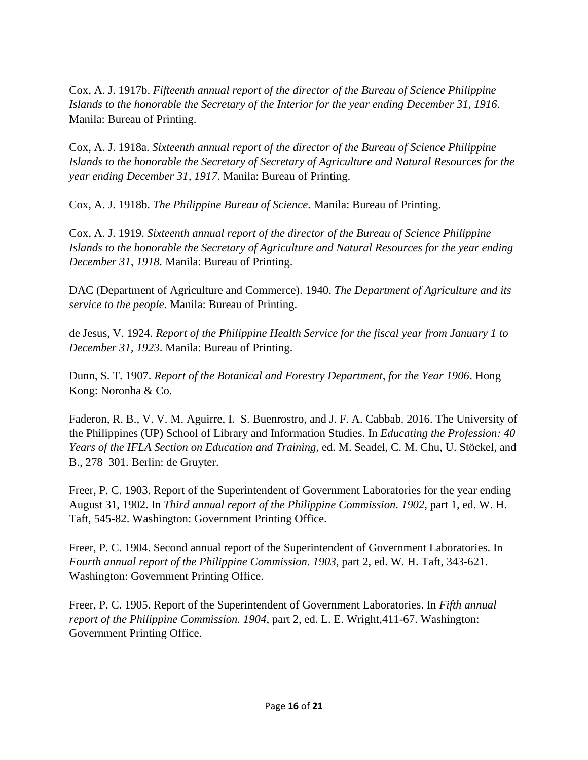Cox, A. J. 1917b. *Fifteenth annual report of the director of the Bureau of Science Philippine Islands to the honorable the Secretary of the Interior for the year ending December 31, 1916*. Manila: Bureau of Printing.

Cox, A. J. 1918a. *Sixteenth annual report of the director of the Bureau of Science Philippine Islands to the honorable the Secretary of Secretary of Agriculture and Natural Resources for the year ending December 31, 1917*. Manila: Bureau of Printing.

Cox, A. J. 1918b. *The Philippine Bureau of Science*. Manila: Bureau of Printing.

Cox, A. J. 1919. *Sixteenth annual report of the director of the Bureau of Science Philippine Islands to the honorable the Secretary of Agriculture and Natural Resources for the year ending December 31, 1918.* Manila: Bureau of Printing.

DAC (Department of Agriculture and Commerce). 1940. *The Department of Agriculture and its service to the people*. Manila: Bureau of Printing.

de Jesus, V. 1924. *Report of the Philippine Health Service for the fiscal year from January 1 to December 31, 1923*. Manila: Bureau of Printing.

Dunn, S. T. 1907. *Report of the Botanical and Forestry Department, for the Year 1906*. Hong Kong: Noronha & Co.

Faderon, R. B., V. V. M. Aguirre, I. S. Buenrostro, and J. F. A. Cabbab. 2016. The University of the Philippines (UP) School of Library and Information Studies. In *Educating the Profession: 40 Years of the IFLA Section on Education and Training*, ed. M. Seadel, C. M. Chu, U. Stöckel, and B., 278–301. Berlin: de Gruyter.

Freer, P. C. 1903. Report of the Superintendent of Government Laboratories for the year ending August 31, 1902. In *Third annual report of the Philippine Commission. 1902*, part 1, ed. W. H. Taft, 545-82. Washington: Government Printing Office.

Freer, P. C. 1904. Second annual report of the Superintendent of Government Laboratories. In *Fourth annual report of the Philippine Commission. 1903*, part 2, ed. W. H. Taft, 343-621. Washington: Government Printing Office.

Freer, P. C. 1905. Report of the Superintendent of Government Laboratories. In *Fifth annual report of the Philippine Commission. 1904*, part 2, ed. L. E. Wright,411-67. Washington: Government Printing Office.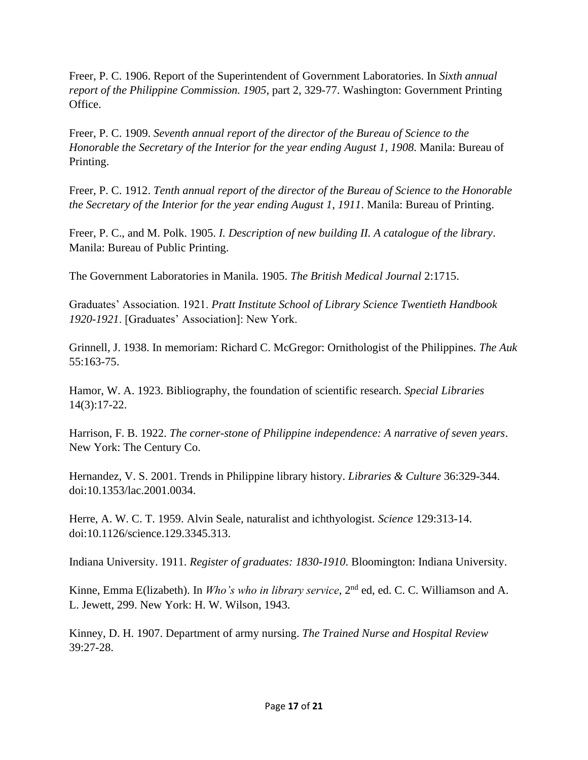Freer, P. C. 1906. Report of the Superintendent of Government Laboratories. In *Sixth annual report of the Philippine Commission. 1905*, part 2, 329-77. Washington: Government Printing Office.

Freer, P. C. 1909. *Seventh annual report of the director of the Bureau of Science to the Honorable the Secretary of the Interior for the year ending August 1, 1908*. Manila: Bureau of Printing.

Freer, P. C. 1912. *Tenth annual report of the director of the Bureau of Science to the Honorable the Secretary of the Interior for the year ending August 1, 1911*. Manila: Bureau of Printing.

Freer, P. C., and M. Polk. 1905. *I. Description of new building II. A catalogue of the library*. Manila: Bureau of Public Printing.

The Government Laboratories in Manila. 1905. *The British Medical Journal* 2:1715.

Graduates' Association. 1921. *Pratt Institute School of Library Science Twentieth Handbook 1920-1921*. [Graduates' Association]: New York.

Grinnell, J. 1938. In memoriam: Richard C. McGregor: Ornithologist of the Philippines. *The Auk* 55:163-75.

Hamor, W. A. 1923. Bibliography, the foundation of scientific research. *Special Libraries* 14(3):17-22.

Harrison, F. B. 1922. *The corner-stone of Philippine independence: A narrative of seven years*. New York: The Century Co.

Hernandez, V. S. 2001. Trends in Philippine library history. *Libraries & Culture* 36:329-344. doi:10.1353/lac.2001.0034.

Herre, A. W. C. T. 1959. Alvin Seale, naturalist and ichthyologist. *Science* 129:313-14. doi:10.1126/science.129.3345.313.

Indiana University. 1911. *Register of graduates: 1830-1910*. Bloomington: Indiana University.

Kinne, Emma E(lizabeth). In *Who's who in library service*, 2nd ed, ed. C. C. Williamson and A. L. Jewett, 299. New York: H. W. Wilson, 1943.

Kinney, D. H. 1907. Department of army nursing. *The Trained Nurse and Hospital Review* 39:27-28.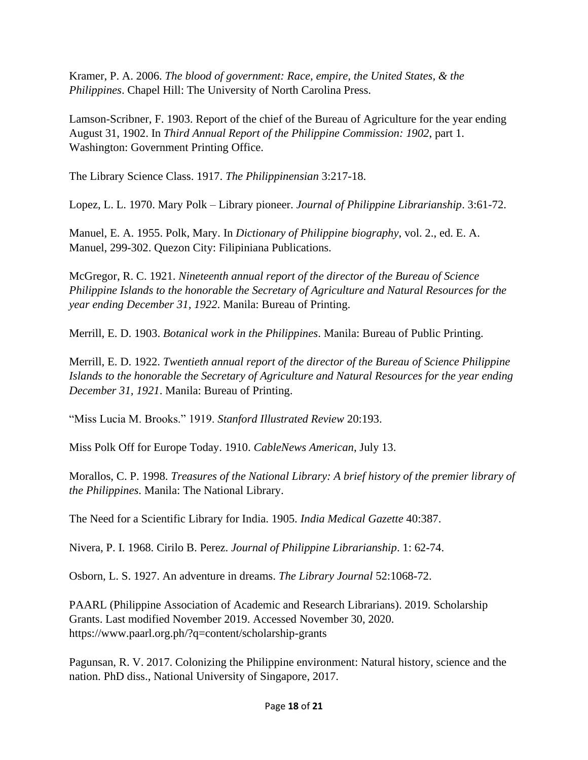Kramer, P. A. 2006. *The blood of government: Race, empire, the United States, & the Philippines*. Chapel Hill: The University of North Carolina Press.

Lamson-Scribner, F. 1903. Report of the chief of the Bureau of Agriculture for the year ending August 31, 1902. In *Third Annual Report of the Philippine Commission: 1902*, part 1. Washington: Government Printing Office.

The Library Science Class. 1917. *The Philippinensian* 3:217-18.

Lopez, L. L. 1970. Mary Polk – Library pioneer. *Journal of Philippine Librarianship*. 3:61-72.

Manuel, E. A. 1955. Polk, Mary. In *Dictionary of Philippine biography*, vol. 2., ed. E. A. Manuel, 299-302. Quezon City: Filipiniana Publications.

McGregor, R. C. 1921. *Nineteenth annual report of the director of the Bureau of Science Philippine Islands to the honorable the Secretary of Agriculture and Natural Resources for the year ending December 31, 1922*. Manila: Bureau of Printing.

Merrill, E. D. 1903. *Botanical work in the Philippines*. Manila: Bureau of Public Printing.

Merrill, E. D. 1922. *Twentieth annual report of the director of the Bureau of Science Philippine Islands to the honorable the Secretary of Agriculture and Natural Resources for the year ending December 31, 1921*. Manila: Bureau of Printing.

"Miss Lucia M. Brooks." 1919. *Stanford Illustrated Review* 20:193.

Miss Polk Off for Europe Today. 1910. *CableNews American*, July 13.

Morallos, C. P. 1998. *Treasures of the National Library: A brief history of the premier library of the Philippines*. Manila: The National Library.

The Need for a Scientific Library for India. 1905. *India Medical Gazette* 40:387.

Nivera, P. I. 1968. Cirilo B. Perez. *Journal of Philippine Librarianship*. 1: 62-74.

Osborn, L. S. 1927. An adventure in dreams. *The Library Journal* 52:1068-72.

PAARL (Philippine Association of Academic and Research Librarians). 2019. Scholarship Grants. Last modified November 2019. Accessed November 30, 2020. https://www.paarl.org.ph/?q=content/scholarship-grants

Pagunsan, R. V. 2017. Colonizing the Philippine environment: Natural history, science and the nation. PhD diss., National University of Singapore, 2017.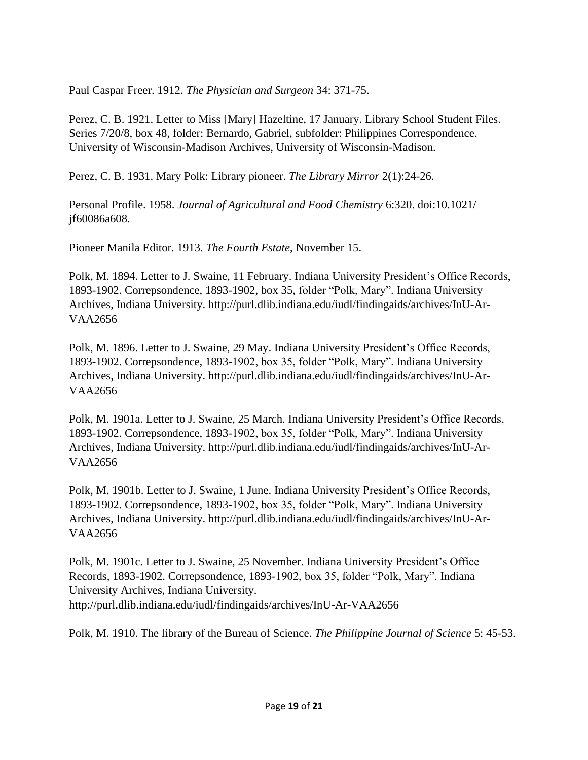Paul Caspar Freer. 1912. *The Physician and Surgeon* 34: 371-75.

Perez, C. B. 1921. Letter to Miss [Mary] Hazeltine, 17 January. Library School Student Files. Series 7/20/8, box 48, folder: Bernardo, Gabriel, subfolder: Philippines Correspondence. University of Wisconsin-Madison Archives, University of Wisconsin-Madison.

Perez, C. B. 1931. Mary Polk: Library pioneer. *The Library Mirror* 2(1):24-26.

Personal Profile. 1958. *Journal of Agricultural and Food Chemistry* 6:320. doi:10.1021/ jf60086a608.

Pioneer Manila Editor. 1913. *The Fourth Estate*, November 15.

Polk, M. 1894. Letter to J. Swaine, 11 February. Indiana University President's Office Records, 1893-1902. Correpsondence, 1893-1902, box 35, folder "Polk, Mary". Indiana University Archives, Indiana University. http://purl.dlib.indiana.edu/iudl/findingaids/archives/InU-Ar-VAA2656

Polk, M. 1896. Letter to J. Swaine, 29 May. Indiana University President's Office Records, 1893-1902. Correpsondence, 1893-1902, box 35, folder "Polk, Mary". Indiana University Archives, Indiana University. http://purl.dlib.indiana.edu/iudl/findingaids/archives/InU-Ar-VAA2656

Polk, M. 1901a. Letter to J. Swaine, 25 March. Indiana University President's Office Records, 1893-1902. Correpsondence, 1893-1902, box 35, folder "Polk, Mary". Indiana University Archives, Indiana University. http://purl.dlib.indiana.edu/iudl/findingaids/archives/InU-Ar-VAA2656

Polk, M. 1901b. Letter to J. Swaine, 1 June. Indiana University President's Office Records, 1893-1902. Correpsondence, 1893-1902, box 35, folder "Polk, Mary". Indiana University Archives, Indiana University. http://purl.dlib.indiana.edu/iudl/findingaids/archives/InU-Ar-VAA2656

Polk, M. 1901c. Letter to J. Swaine, 25 November. Indiana University President's Office Records, 1893-1902. Correpsondence, 1893-1902, box 35, folder "Polk, Mary". Indiana University Archives, Indiana University. http://purl.dlib.indiana.edu/iudl/findingaids/archives/InU-Ar-VAA2656

Polk, M. 1910. The library of the Bureau of Science. *The Philippine Journal of Science* 5: 45-53.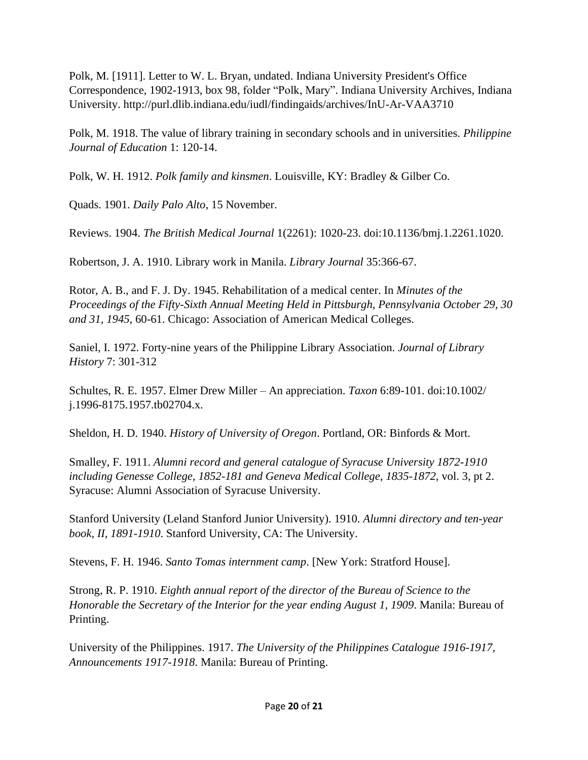Polk, M. [1911]. Letter to W. L. Bryan, undated. Indiana University President's Office Correspondence, 1902-1913, box 98, folder "Polk, Mary". Indiana University Archives, Indiana University. http://purl.dlib.indiana.edu/iudl/findingaids/archives/InU-Ar-VAA3710

Polk, M. 1918. The value of library training in secondary schools and in universities. *Philippine Journal of Education* 1: 120-14.

Polk, W. H. 1912. *Polk family and kinsmen*. Louisville, KY: Bradley & Gilber Co.

Quads. 1901. *Daily Palo Alto*, 15 November.

Reviews. 1904. *The British Medical Journal* 1(2261): 1020-23. doi:10.1136/bmj.1.2261.1020.

Robertson, J. A. 1910. Library work in Manila. *Library Journal* 35:366-67.

Rotor, A. B., and F. J. Dy. 1945. Rehabilitation of a medical center. In *Minutes of the Proceedings of the Fifty-Sixth Annual Meeting Held in Pittsburgh, Pennsylvania October 29, 30 and 31, 1945*, 60-61. Chicago: Association of American Medical Colleges.

Saniel, I. 1972. Forty-nine years of the Philippine Library Association. *Journal of Library History* 7: 301-312

Schultes, R. E. 1957. Elmer Drew Miller – An appreciation. *Taxon* 6:89-101. doi:10.1002/ j.1996-8175.1957.tb02704.x.

Sheldon, H. D. 1940. *History of University of Oregon*. Portland, OR: Binfords & Mort.

Smalley, F. 1911. *Alumni record and general catalogue of Syracuse University 1872-1910 including Genesse College, 1852-181 and Geneva Medical College, 1835-1872*, vol. 3, pt 2. Syracuse: Alumni Association of Syracuse University.

Stanford University (Leland Stanford Junior University). 1910. *Alumni directory and ten-year book, II, 1891-1910*. Stanford University, CA: The University.

Stevens, F. H. 1946. *Santo Tomas internment camp*. [New York: Stratford House].

Strong, R. P. 1910. *Eighth annual report of the director of the Bureau of Science to the Honorable the Secretary of the Interior for the year ending August 1, 1909*. Manila: Bureau of Printing.

University of the Philippines. 1917. *The University of the Philippines Catalogue 1916-1917, Announcements 1917-1918*. Manila: Bureau of Printing.